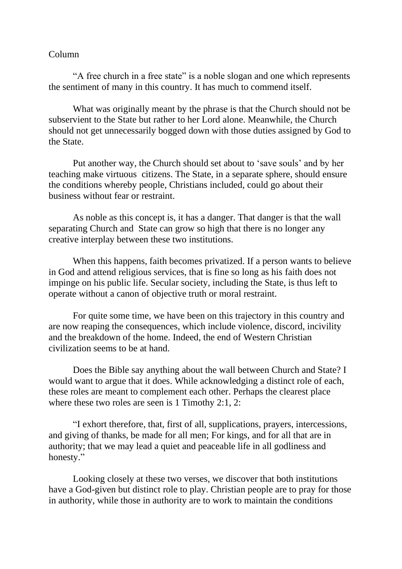## Column

"A free church in a free state" is a noble slogan and one which represents the sentiment of many in this country. It has much to commend itself.

What was originally meant by the phrase is that the Church should not be subservient to the State but rather to her Lord alone. Meanwhile, the Church should not get unnecessarily bogged down with those duties assigned by God to the State.

Put another way, the Church should set about to 'save souls' and by her teaching make virtuous citizens. The State, in a separate sphere, should ensure the conditions whereby people, Christians included, could go about their business without fear or restraint.

As noble as this concept is, it has a danger. That danger is that the wall separating Church and State can grow so high that there is no longer any creative interplay between these two institutions.

When this happens, faith becomes privatized. If a person wants to believe in God and attend religious services, that is fine so long as his faith does not impinge on his public life. Secular society, including the State, is thus left to operate without a canon of objective truth or moral restraint.

For quite some time, we have been on this trajectory in this country and are now reaping the consequences, which include violence, discord, incivility and the breakdown of the home. Indeed, the end of Western Christian civilization seems to be at hand.

Does the Bible say anything about the wall between Church and State? I would want to argue that it does. While acknowledging a distinct role of each, these roles are meant to complement each other. Perhaps the clearest place where these two roles are seen is 1 Timothy 2:1, 2:

"I exhort therefore, that, first of all, supplications, prayers, intercessions, and giving of thanks, be made for all men; For kings, and for all that are in authority; that we may lead a quiet and peaceable life in all godliness and honesty."

Looking closely at these two verses, we discover that both institutions have a God-given but distinct role to play. Christian people are to pray for those in authority, while those in authority are to work to maintain the conditions